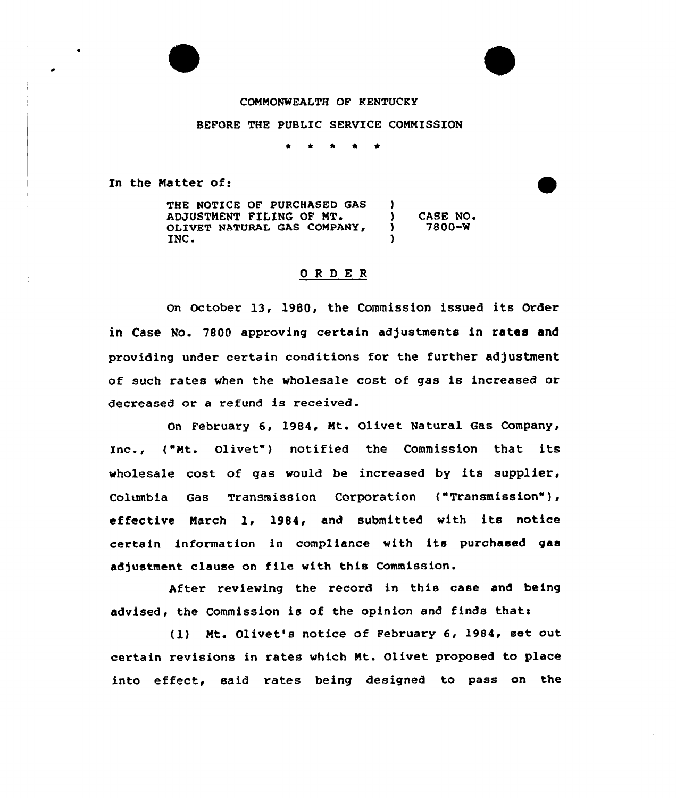### COMMONWEALTH OF KENTUCKY

#### BEFORE THE PUBLIC SERVICE COMMISSION

 $\bullet$  $\bullet$ 

In the Matter of:

THE NOTICE OF PURCHASED GAS  $)$ ADJUSTMENT FILING OF ) CASE NO.<br>
) 7800-W ) 7800-% OLIVET NATURAL GAS COMPANY, INC. )

#### ORDER

On October 13, 1980, the Commission issued its Order in Case No. 7800 approving certain adjustments in rates and providing under certain conditions for the further adjustment of such rates when the wholesale cost of gas is increased or decreased or a refund is received.

On February 6, 1984, Mt. Olivet Natural Gas Company, Inc., ("Mt. Olivet") notified the Commission that its wholesale cost of gas would be increased by its supplier, Columbia Gas Transmission Corporation ("Transmission" ), effective March 1, 1984, and submitted with its notice certain information in compliance with its purchased gas adjustment clause on file with this Commission.

After reviewing the record in this case and being advised, the Commission is of the opinion and finds that:

(l) Mt. Olivet's notice of February 6, 1984, set out certain revisions in rates which Mt. Olivet proposed to place into effect, said rates being designed to pass on the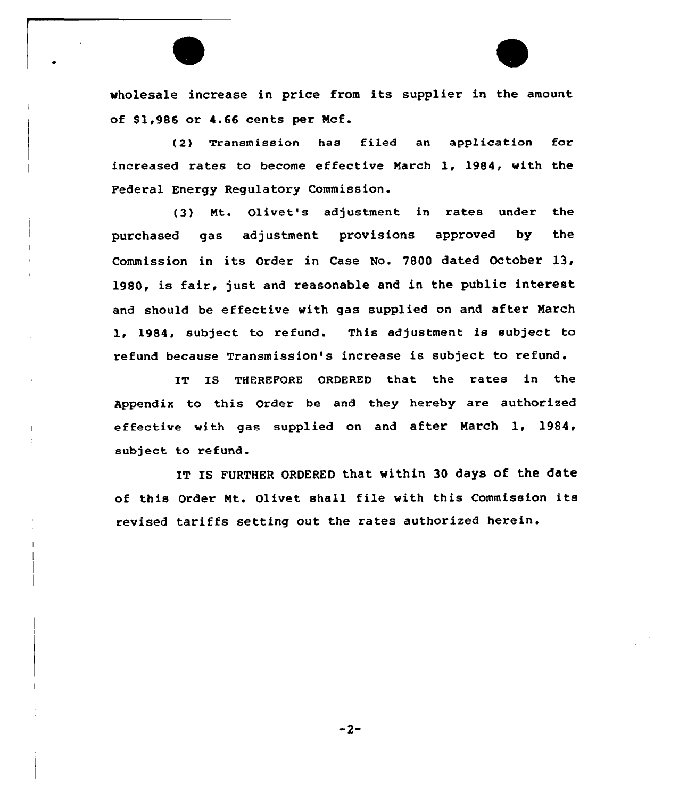wholesale increase in price from its supplier in the amount of \$1,986 or 4.66 cents per Mcf.

(2) Transmission has filed an application for increased rates to become effective March 1, 1984, with the Federal Energy Regulatory Commission.

(3) Nt. Olivet's adjustment in rates under the purchased gas adjustment provisions approved by the Commission in its Order in Case No. 7800 dated October 13, 1980, is fair, just and reasonable and in the public interest and should be effective with gas supplied on and after March 1, 1984, subject to refund. This adjustment is subject to refund because Transmission's increase is subject to refund.

IT IS THEREFORE ORDERED that the rates in the Appendix to this Order be and they hereby are authorized effective with gas supplied on and after March 1, 1984, subject to refund.

IT IS FURTHER ORDERED that within 30 days of the date of this Order Mt. Olivet shall file with this Commission its revised tariffs setting out the rates authorized herein.

 $-2-$